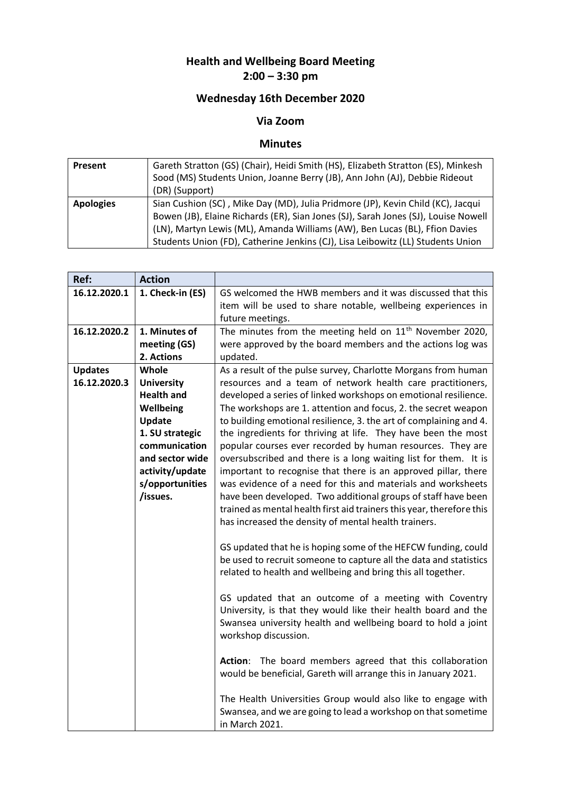## **Health and Wellbeing Board Meeting 2:00 – 3:30 pm**

## **Wednesday 16th December 2020**

## **Via Zoom**

## **Minutes**

| Present          | Gareth Stratton (GS) (Chair), Heidi Smith (HS), Elizabeth Stratton (ES), Minkesh   |
|------------------|------------------------------------------------------------------------------------|
|                  | Sood (MS) Students Union, Joanne Berry (JB), Ann John (AJ), Debbie Rideout         |
|                  | (DR) (Support)                                                                     |
| <b>Apologies</b> | Sian Cushion (SC), Mike Day (MD), Julia Pridmore (JP), Kevin Child (KC), Jacqui    |
|                  | Bowen (JB), Elaine Richards (ER), Sian Jones (SJ), Sarah Jones (SJ), Louise Nowell |
|                  | (LN), Martyn Lewis (ML), Amanda Williams (AW), Ben Lucas (BL), Ffion Davies        |
|                  | Students Union (FD), Catherine Jenkins (CJ), Lisa Leibowitz (LL) Students Union    |

| Ref:           | <b>Action</b>     |                                                                       |
|----------------|-------------------|-----------------------------------------------------------------------|
| 16.12.2020.1   | 1. Check-in (ES)  | GS welcomed the HWB members and it was discussed that this            |
|                |                   | item will be used to share notable, wellbeing experiences in          |
|                |                   | future meetings.                                                      |
| 16.12.2020.2   | 1. Minutes of     | The minutes from the meeting held on $11th$ November 2020,            |
|                | meeting (GS)      | were approved by the board members and the actions log was            |
|                | 2. Actions        | updated.                                                              |
| <b>Updates</b> | Whole             | As a result of the pulse survey, Charlotte Morgans from human         |
| 16.12.2020.3   | <b>University</b> | resources and a team of network health care practitioners,            |
|                | <b>Health and</b> | developed a series of linked workshops on emotional resilience.       |
|                | Wellbeing         | The workshops are 1. attention and focus, 2. the secret weapon        |
|                | <b>Update</b>     | to building emotional resilience, 3. the art of complaining and 4.    |
|                | 1. SU strategic   | the ingredients for thriving at life. They have been the most         |
|                | communication     | popular courses ever recorded by human resources. They are            |
|                | and sector wide   | oversubscribed and there is a long waiting list for them. It is       |
|                | activity/update   | important to recognise that there is an approved pillar, there        |
|                | s/opportunities   | was evidence of a need for this and materials and worksheets          |
|                | /issues.          | have been developed. Two additional groups of staff have been         |
|                |                   | trained as mental health first aid trainers this year, therefore this |
|                |                   | has increased the density of mental health trainers.                  |
|                |                   | GS updated that he is hoping some of the HEFCW funding, could         |
|                |                   | be used to recruit someone to capture all the data and statistics     |
|                |                   | related to health and wellbeing and bring this all together.          |
|                |                   |                                                                       |
|                |                   | GS updated that an outcome of a meeting with Coventry                 |
|                |                   | University, is that they would like their health board and the        |
|                |                   | Swansea university health and wellbeing board to hold a joint         |
|                |                   | workshop discussion.                                                  |
|                |                   | Action: The board members agreed that this collaboration              |
|                |                   | would be beneficial, Gareth will arrange this in January 2021.        |
|                |                   |                                                                       |
|                |                   | The Health Universities Group would also like to engage with          |
|                |                   | Swansea, and we are going to lead a workshop on that sometime         |
|                |                   | in March 2021.                                                        |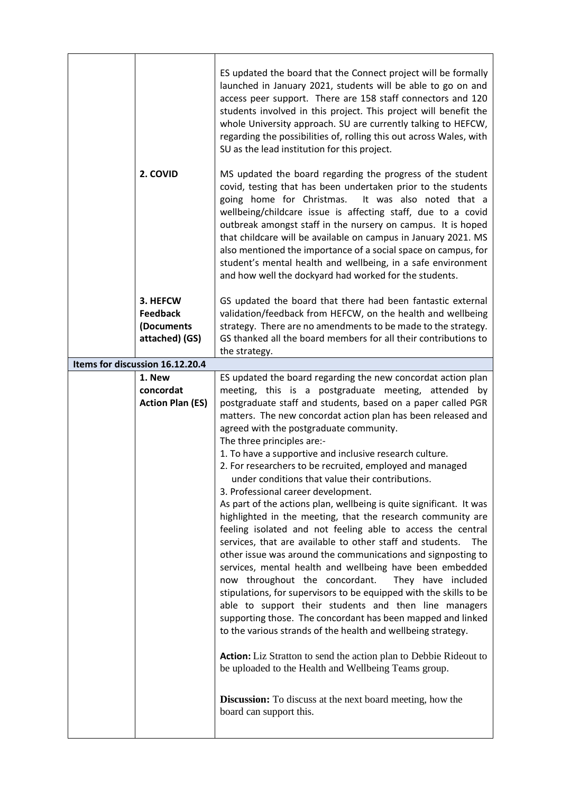| 3. HEFCW<br><b>Feedback</b><br>(Documents<br>GS thanked all the board members for all their contributions to<br>attached) (GS)<br>the strategy.<br>Items for discussion 16.12.20.4<br>1. New<br>concordat<br><b>Action Plan (ES)</b><br>agreed with the postgraduate community.<br>The three principles are:-<br>1. To have a supportive and inclusive research culture.<br>2. For researchers to be recruited, employed and managed<br>under conditions that value their contributions.<br>3. Professional career development.<br>services, that are available to other staff and students. | 2. COVID | ES updated the board that the Connect project will be formally<br>launched in January 2021, students will be able to go on and<br>access peer support. There are 158 staff connectors and 120<br>students involved in this project. This project will benefit the<br>whole University approach. SU are currently talking to HEFCW,<br>regarding the possibilities of, rolling this out across Wales, with<br>SU as the lead institution for this project.<br>MS updated the board regarding the progress of the student<br>covid, testing that has been undertaken prior to the students<br>going home for Christmas.<br>It was also noted that a<br>wellbeing/childcare issue is affecting staff, due to a covid<br>outbreak amongst staff in the nursery on campus. It is hoped<br>that childcare will be available on campus in January 2021. MS<br>also mentioned the importance of a social space on campus, for<br>student's mental health and wellbeing, in a safe environment<br>and how well the dockyard had worked for the students. |  |  |  |
|----------------------------------------------------------------------------------------------------------------------------------------------------------------------------------------------------------------------------------------------------------------------------------------------------------------------------------------------------------------------------------------------------------------------------------------------------------------------------------------------------------------------------------------------------------------------------------------------|----------|-------------------------------------------------------------------------------------------------------------------------------------------------------------------------------------------------------------------------------------------------------------------------------------------------------------------------------------------------------------------------------------------------------------------------------------------------------------------------------------------------------------------------------------------------------------------------------------------------------------------------------------------------------------------------------------------------------------------------------------------------------------------------------------------------------------------------------------------------------------------------------------------------------------------------------------------------------------------------------------------------------------------------------------------------|--|--|--|
|                                                                                                                                                                                                                                                                                                                                                                                                                                                                                                                                                                                              |          | GS updated the board that there had been fantastic external                                                                                                                                                                                                                                                                                                                                                                                                                                                                                                                                                                                                                                                                                                                                                                                                                                                                                                                                                                                     |  |  |  |
|                                                                                                                                                                                                                                                                                                                                                                                                                                                                                                                                                                                              |          | validation/feedback from HEFCW, on the health and wellbeing                                                                                                                                                                                                                                                                                                                                                                                                                                                                                                                                                                                                                                                                                                                                                                                                                                                                                                                                                                                     |  |  |  |
|                                                                                                                                                                                                                                                                                                                                                                                                                                                                                                                                                                                              |          | strategy. There are no amendments to be made to the strategy.                                                                                                                                                                                                                                                                                                                                                                                                                                                                                                                                                                                                                                                                                                                                                                                                                                                                                                                                                                                   |  |  |  |
|                                                                                                                                                                                                                                                                                                                                                                                                                                                                                                                                                                                              |          |                                                                                                                                                                                                                                                                                                                                                                                                                                                                                                                                                                                                                                                                                                                                                                                                                                                                                                                                                                                                                                                 |  |  |  |
|                                                                                                                                                                                                                                                                                                                                                                                                                                                                                                                                                                                              |          |                                                                                                                                                                                                                                                                                                                                                                                                                                                                                                                                                                                                                                                                                                                                                                                                                                                                                                                                                                                                                                                 |  |  |  |
|                                                                                                                                                                                                                                                                                                                                                                                                                                                                                                                                                                                              |          | ES updated the board regarding the new concordat action plan                                                                                                                                                                                                                                                                                                                                                                                                                                                                                                                                                                                                                                                                                                                                                                                                                                                                                                                                                                                    |  |  |  |
| able to support their students and then line managers<br>supporting those. The concordant has been mapped and linked<br>to the various strands of the health and wellbeing strategy.<br><b>Action:</b> Liz Stratton to send the action plan to Debbie Rideout to<br>be uploaded to the Health and Wellbeing Teams group.<br><b>Discussion:</b> To discuss at the next board meeting, how the<br>board can support this.                                                                                                                                                                      |          | meeting, this is a postgraduate meeting, attended by<br>postgraduate staff and students, based on a paper called PGR<br>matters. The new concordat action plan has been released and<br>As part of the actions plan, wellbeing is quite significant. It was<br>highlighted in the meeting, that the research community are<br>feeling isolated and not feeling able to access the central<br>The<br>other issue was around the communications and signposting to<br>services, mental health and wellbeing have been embedded<br>now throughout the concordant.<br>They have included<br>stipulations, for supervisors to be equipped with the skills to be                                                                                                                                                                                                                                                                                                                                                                                      |  |  |  |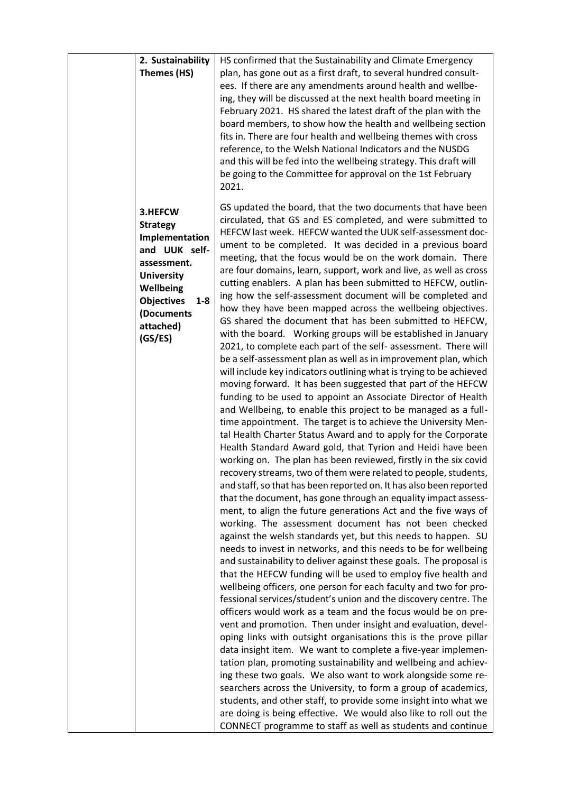| 2. Sustainability                                                                                                                                                                  | HS confirmed that the Sustainability and Climate Emergency                                                                                                                                                                                                                                                                                                                                                                                                                                                                                                                                                                                                                                                                                                                                                                                                                                                                                                                                                                                                                                                                                                                                                                                                                                                                                                                                                                                                                                                                                                                                                                                                                                                                                                                                                                                                                                                                                                                                                                                                                                                                                                                                                                                                                                                                                                                                                                                                                                                                                                                                                                                                                                                                                                                                                                                         |
|------------------------------------------------------------------------------------------------------------------------------------------------------------------------------------|----------------------------------------------------------------------------------------------------------------------------------------------------------------------------------------------------------------------------------------------------------------------------------------------------------------------------------------------------------------------------------------------------------------------------------------------------------------------------------------------------------------------------------------------------------------------------------------------------------------------------------------------------------------------------------------------------------------------------------------------------------------------------------------------------------------------------------------------------------------------------------------------------------------------------------------------------------------------------------------------------------------------------------------------------------------------------------------------------------------------------------------------------------------------------------------------------------------------------------------------------------------------------------------------------------------------------------------------------------------------------------------------------------------------------------------------------------------------------------------------------------------------------------------------------------------------------------------------------------------------------------------------------------------------------------------------------------------------------------------------------------------------------------------------------------------------------------------------------------------------------------------------------------------------------------------------------------------------------------------------------------------------------------------------------------------------------------------------------------------------------------------------------------------------------------------------------------------------------------------------------------------------------------------------------------------------------------------------------------------------------------------------------------------------------------------------------------------------------------------------------------------------------------------------------------------------------------------------------------------------------------------------------------------------------------------------------------------------------------------------------------------------------------------------------------------------------------------------------|
| Themes (HS)                                                                                                                                                                        | plan, has gone out as a first draft, to several hundred consult-<br>ees. If there are any amendments around health and wellbe-<br>ing, they will be discussed at the next health board meeting in<br>February 2021. HS shared the latest draft of the plan with the<br>board members, to show how the health and wellbeing section<br>fits in. There are four health and wellbeing themes with cross<br>reference, to the Welsh National Indicators and the NUSDG<br>and this will be fed into the wellbeing strategy. This draft will<br>be going to the Committee for approval on the 1st February<br>2021.                                                                                                                                                                                                                                                                                                                                                                                                                                                                                                                                                                                                                                                                                                                                                                                                                                                                                                                                                                                                                                                                                                                                                                                                                                                                                                                                                                                                                                                                                                                                                                                                                                                                                                                                                                                                                                                                                                                                                                                                                                                                                                                                                                                                                                      |
| 3.HEFCW<br><b>Strategy</b><br>Implementation<br>and UUK self-<br>assessment.<br><b>University</b><br>Wellbeing<br><b>Objectives</b><br>$1-8$<br>(Documents<br>attached)<br>(GS/ES) | GS updated the board, that the two documents that have been<br>circulated, that GS and ES completed, and were submitted to<br>HEFCW last week. HEFCW wanted the UUK self-assessment doc-<br>ument to be completed. It was decided in a previous board<br>meeting, that the focus would be on the work domain. There<br>are four domains, learn, support, work and live, as well as cross<br>cutting enablers. A plan has been submitted to HEFCW, outlin-<br>ing how the self-assessment document will be completed and<br>how they have been mapped across the wellbeing objectives.<br>GS shared the document that has been submitted to HEFCW,<br>with the board. Working groups will be established in January<br>2021, to complete each part of the self- assessment. There will<br>be a self-assessment plan as well as in improvement plan, which<br>will include key indicators outlining what is trying to be achieved<br>moving forward. It has been suggested that part of the HEFCW<br>funding to be used to appoint an Associate Director of Health<br>and Wellbeing, to enable this project to be managed as a full-<br>time appointment. The target is to achieve the University Men-<br>tal Health Charter Status Award and to apply for the Corporate<br>Health Standard Award gold, that Tyrion and Heidi have been<br>working on. The plan has been reviewed, firstly in the six covid<br>recovery streams, two of them were related to people, students,<br>and staff, so that has been reported on. It has also been reported<br>that the document, has gone through an equality impact assess-<br>ment, to align the future generations Act and the five ways of<br>working. The assessment document has not been checked<br>against the welsh standards yet, but this needs to happen. SU<br>needs to invest in networks, and this needs to be for wellbeing<br>and sustainability to deliver against these goals. The proposal is<br>that the HEFCW funding will be used to employ five health and<br>wellbeing officers, one person for each faculty and two for pro-<br>fessional services/student's union and the discovery centre. The<br>officers would work as a team and the focus would be on pre-<br>vent and promotion. Then under insight and evaluation, devel-<br>oping links with outsight organisations this is the prove pillar<br>data insight item. We want to complete a five-year implemen-<br>tation plan, promoting sustainability and wellbeing and achiev-<br>ing these two goals. We also want to work alongside some re-<br>searchers across the University, to form a group of academics,<br>students, and other staff, to provide some insight into what we<br>are doing is being effective. We would also like to roll out the<br>CONNECT programme to staff as well as students and continue |